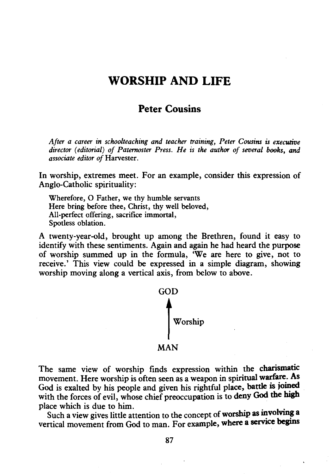# WORSHIP AND LIFE

### Peter Cousins

*After a career in schoolteaching and teacher training, Peter Cousins is executive director (editorial) of Paternoster Press. He is the author of several books, and associate editor of* Harvester.

In worship, extremes meet. For an example, consider this expression of Anglo-Catholic spirituality:

Wherefore, 0 Father, we thy humble servants Here bring before thee, Christ, thy well beloved, All-perfect offering, sacrifice immortal, Spotless oblation.

A twenty-year-old, brought up among the Brethren, found it easy to identify with these sentiments. Again and again he had heard the purpose of worship summed up in the formula, 'We are here to give, not to receive.' This view could be expressed in a simple diagram, showing worship moving along a vertical axis, from below to above.



The same view of worship finds expression within the charismatic movement. Here worship is often seen as a weapon in spiritual warfare. As God is exalted by his people and given his rightful place, battle is joined with the forces of evil, whose chief preoccupation is to deny God the high place which is due to him. .

Such a view gives little attention to the concept of worship as involving a vertical movement from God to man. For example, where a service begins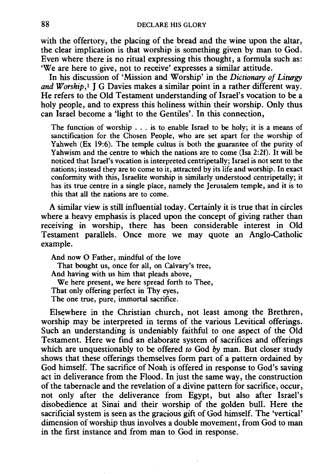with the offertory, the placing of the bread and the wine upon the altar, the clear implication is that worship is something given by man to God. Even where there is no ritual expressing this thought, a formula such as: 'We are here to give, not to receive' expresses a similar attitude.

In his discussion of 'Mission and Worship' in the *Dictionary of Liturgy*  and Worship,<sup>1</sup> I G Davies makes a similar point in a rather different way. He refers to the Old Testament understanding of Israel's vocation to be a holy people, and to express this holiness within their worship. Only thus can Israel become a 'light to the Gentiles'. In this connection,

The function of worship ... is to enable Israel to be holy; it is a means of sanctification for the Chosen People, who are set apart for the worship of Yahweh (Ex 19:6). The temple cultus is both the guarantee of the purity of Yahwism and the centre to which the nations are to come (Isa 2:2f). It will be noticed that Israel's vocation is interpreted centripetally; Israel is not sent to the nations; instead they are to come to it, attracted by its life and worship. In exact conformity with this, Israelite worship is similarly understood centripetally; it has its true centre in a single place, namely the Jerusalem temple, and it is to this that all the nations are to come.

A similar view is still influential today. Certainly it is true that in circles where a heavy emphasis is placed upon the concept of giving rather than receiving in worship, there has been considerable interest in Old Testament parallels. Once more we may quote an Anglo-Catholic example.

And now 0 Father, mindful of the love That bought us, once for all, on Calvary's tree, And having with us him that pleads above, We here present, we here spread forth to Thee, That only offering perfect in Thy eyes, The one true, pure, immortal sacrifice.

Elsewhere in the Christian church, not least among the Brethren, worship may be interpreted in terms of the various Levitical offerings. Such an understanding is undeniably faithful to one aspect of the Old Testament. Here we find an elaborate system of sacrifices and offerings which are unquestionably to be offered *to* God *by* man. But closer study shows that these offerings themselves form part of a pattern ordained by God himself. The sacrifice of Noah is offered in response to God's saving act in deliverance from the Flood. In just the same way, the construction of the tabernacle and the revelation of a divine pattern for sacrifice, occur, not only after the deliverance from Egypt, but also after Israel's disobedience at Sinai and their worship of the golden bull. Here the sacrificial system is seen as the gracious gift of God himself. The 'vertical' dimension of worship thus involves a double movement, from God to man in the first instance and from man to God in response.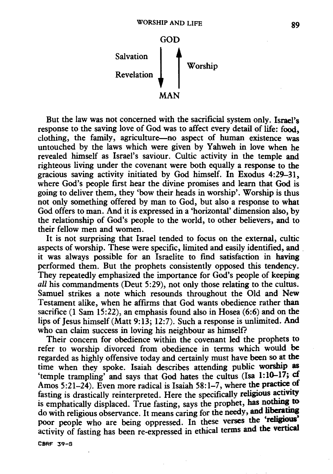

But the law was not concerned with the sacrificial system only. Israel's response to the saving love of God was to affect every detail of life: food, clothing, the family, agriculture-no aspect of human existence was untouched by the laws which were given by Yahweh in love when he revealed himself as Israel's saviour. Cultic activity in the temple and righteous living under the covenant were both equally a response to the gracious saving activity initiated by God himself. In Exodus 4:29-31, where God's people first hear the divine promises and learn that God is going to deliver them, they 'bow their heads in worship'. Worship is thus not only something offered by man to God, but also a response to what God offers to man. And it is expressed in a 'horizontal' dimension also, by the relationship of God's people to the world, to other believers, and to their fellow men and women.

It is not surprising that Israel tended to focus on the external, cultic aspects of worship. These were specific, limited and easily identified, and . it was always possible for an Israelite to fmd satisfaction in having performed them. But the prophets consistently opposed this tendency. They repeatedly emphasized the importance for God's people of keeping *all* his commandments (Deut 5:29), not only those relating to the cultus. Samuel strikes a note which resounds throughout the Old and New Testament alike, when he affirms that God wants obedience rather than sacrifice (1 Sam 15:22), an emphasis found also in Hosea (6:6) and on the lips of Jesus himself (Matt 9:13; 12:7). Such a response is unlimited. And who can claim success in loving his neighbour as himself?

Their concern for obedience within the covenant led the prophets to refer to worship divorced from obedience in terms which would be regarded as highly offensive today and certainly must have been so at the time when they spoke. Isaiah describes attending public worship as 'temple trampling' and says that God hates the cultus (Isa  $1:10-17$ ; cf Amos 5:21-24). Even more radical is Isaiah 58:1-7, where the practice of fasting is drastically reinterpreted. Here the specifically religious activity is emphatically displaced. True fasting, says the prophet, has nothing to do with religious observance. It means caring for the needy, and liberating poor people who are being oppressed. In these verses the 'religious' activity of fasting has been re-expressed in ethical terms and the vertical

CBRF 39-6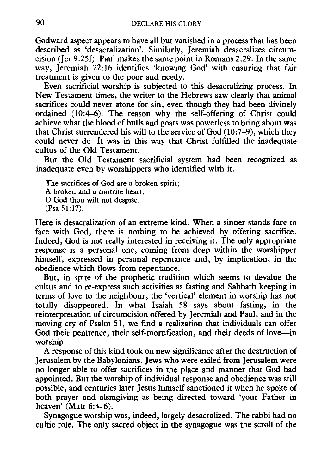Godward aspect appears to have all but vanished in a process that has been described as 'desacralization'. Similarly, Jeremiah desacralizes circumcision (Jer 9:25[). Paul makes the same point in Romans 2:29. In the same way, Jeremiah 22:16 identifies 'knowing God' with ensuring that fair treatment is given to the poor and needy.

Even sacrificial worship is subjected to this desacralizing process. In New Testament times, the writer to the Hebrews saw clearly that animal sacrifices could never atone for sin, even though they had been divinely ordained (10:4-6). The reason why the self-offering of Christ could achieve what the blood of bulls and goats was powerless to bring about was that Christ surrendered his will to the service of God (10:7-9), which they could never do. It was in this way that Christ fulfilled the inadequate cultus of the Old Testament.

But the Old Testament sacrificial system had been recognized as inadequate even by worshippers who identified with it.

The sacrifices of God are a broken spirit; A broken and a contrite heart, 0 God thou wilt not despise. (Psa 51:17).

Here is desacralization of an extreme kind. When a sinner stands face to face with God, there is nothing to be achieved by offering sacrifice. Indeed, God is not really interested in receiving it. The only appropriate response is a personal one, coming from deep within the worshipper himself, expressed in personal repentance and, by implication, in the obedience which flows from repentance.

But, in spite of the prophetic tradition which seems to devalue the cultus and to re-express such activities as fasting and Sabbath keeping in terms of love to the neighbour, the 'vertical' element in worship has not totally disappeared. In what Isaiah 58 says about fasting, in the reinterpretation of circumcision offered by Jeremiah and Paul, and in the moving cry of Psalm 51, we find a realization that individuals can offer God their penitence, their self-mortification, and their deeds of love-in worship.

A response of this kind took on new significance after the destruction of Jerusalem by the Babylonians. Jews who were exiled from Jerusalem were no longer able to offer sacrifices in the place and manner that God had appointed. But the worship of individual response and obedience was still possible, and centuries later Jesus himself sanctioned it when he spoke of both prayer and alsmgiving as being directed toward 'your Father in heaven' (Matt 6:4-6).

Synagogue worship was, indeed, largely desacralized. The rabbi had no cultic role. The only sacred object in the synagogue was the scroll of the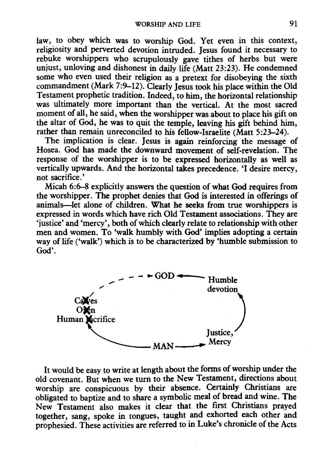law, to obey which was to worship God. Yet even in this context, religiosity and perverted devotion intruded. Jesus found it necessary to rebuke worshippers who scrupulously gave tithes of herbs but were unjust, unloving and dishonest in daily life (Matt 23:23). He condemned some who even used their religion as a pretext for disobeying the sixth commandment (Mark 7:9-12). Clearly Jesus took his place within the Old Testament prophetic tradition. Indeed, to him, the horizontal relationship was ultimately more important than the vertical. At the most sacred moment of all, he said, when the worshipper was about to place his gift on the altar of God, he was to quit the temple, leaving his gift behind him, rather than remain unreconciled to his fellow-Israelite (Matt 5:23-24).

The implication is clear. Jesus is again reinforcing the message of Hosea. God has made the downward movement of self-revelation. The response of the worshipper is to be expressed horizontally as well as vertically upwards. And the horizontal takes precedence. 'I desire mercy, not sacrifice.'

Micah 6:6-8 explicitly answers the question of what God requires from the worshipper. The prophet denies that God is interested in offerings of animals-let alone of children. What he seeks from true worshippers is expressed in words which have rich Old Testament associations. They are 'justice' and 'mercy', both of which clearly relate to relationship with other men and women. To 'walk humbly with God' implies adopting a certain way of life ('walk') which is to be characterized by 'humble submission to God'.



It would be easy to write at length about the forms of worship under the old covenant. But when we turn to the New Testament, directions about worship are conspicuous by their absence. Certainly Christians are obligated to baptize and to share a symbolic meal of bread and wine. The New Testament also makes it clear that the first Christians prayed together, sang, spoke in tongues, taught and exhorted each other and prophesied. These activities are referred to in Luke's chronicle of the Acts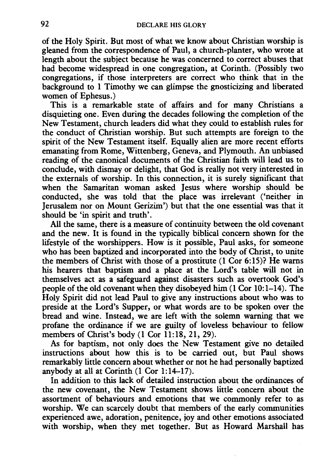of the Holy Spirit. But most of what we know about Christian worship is gleaned from the correspondence of Paul, a church-planter, who wrote at length about the subject because he was concerned to correct abuses that had become widespread in one congregation, at Corinth. (Possibly two congregations, if those interpreters are correct who think that in the background to 1 Timothy we can glimpse the gnosticizing and liberated women of Ephesus.)

This is a remarkable state of affairs and for many Christians a disquieting one. Even during the decades following the completion of the New Testament, church leaders did what they could to establish rules for the conduct of Christian worship. But such attempts are foreign to the spirit of the New Testament itself. Equally alien are more recent efforts emanating from Rome, Wittenberg, Geneva, and Plymouth. An unbiased reading of the canonical documents of the Christian faith will lead us to conclude, with dismay or delight, that God is really not very interested in the externals of worship. In this connection, it is surely significant that when the Samaritan woman asked Jesus where worship should be conducted, she was told that the place was irrelevant ('neither in Jerusalem nor on Mount Gerizim') but that the one essential was that it should be 'in spirit and truth'.

All the same, there is a measure of continuity between the old covenant and the new. It is found in the typically biblical concern shown for the lifestyle of the worshippers. How is it possible, Paul asks, for someone who has been baptized and incorporated into the body of Christ, to unite the members of Christ with those of a prostitute (1 Cor 6:15)? He warns his hearers that baptism and a place at the Lord's table will not in themselves act as a safeguard against disasters such as overtook God's people of the old covenant when they disobeyed him (1 Cor 10:1-14). The Holy Spirit did not lead Paul to give any instructions about who was to preside at the Lord's Supper, or what words are to be spoken over the bread and wine. Instead, we are left with the solemn warning that we profane the ordinance if we are guilty of loveless behaviour to fellow members of Christ's body  $(1 \text{ Cor } 11:18, 21, 29)$ .

As for baptism, not only does the New Testament give no detailed instructions about how this is to be carried out, but Paul shows remarkably little concern about whether or not he had personally baptized anybody at all at Corinth  $(1$  Cor  $1:14-17)$ .

In addition to this lack of detailed instruction about the ordinances of the new covenant, the New Testament shows little concern about the assortment of behaviours and emotions that we commonly refer to as worship. We can scarcely doubt that members of the early communities experienced awe, adoration, penitence, joy and other emotions associated with worship, when they met together. But as Howard Marshall has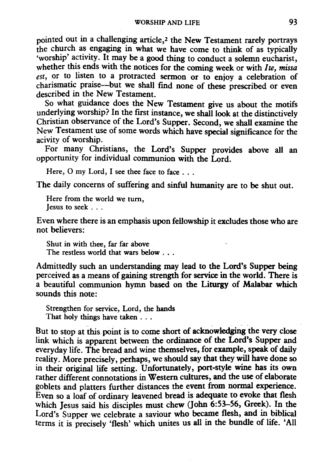pointed out in a challenging article,2 the New Testament rarely portrays the church as engaging in what we have come to think of as typically 'worship' activity. It may be a good thing to conduct a solemn eucharist, whether this ends with the notices for the coming week or with *lte, missa est*, or to listen to a protracted sermon or to enjoy a celebration of charismatic praise---but we shall find none of these prescribed or even described in the New Testament.

So what guidance does the New Testament give us about the motifs underlying worship? In the first instance, we shall look at the distinctively Christian observance of the Lord's Supper. Second, we shall examine the New Testament use of some words which have special significance for the acivity of worship.

For many Christians, the Lord's Supper provides above all an opportunity for individual communion with the Lord.

Here,  $O$  my Lord, I see thee face to face  $\ldots$ 

The daily concerns of suffering and sinful humanity are to be shut out.

Here from the world we turn, Jesus to seek . . .

Even where there is an emphasis upon fellowship it excludes those who are not believers:

Shut in with thee, far far above The restless world that wars below . . .

Admittedly such an understanding may lead to the Lord's Supper being perceived as a means of gaining strength for service in the world. There is a beautiful communion hymn based on the Liturgy of Malabar which sounds this note:

Strengthen for service, Lord, the hands That holy things have taken . . .

But to stop at this point is to come short of acknowledging the very close link which is apparent between the ordinance of the Lord's Supper and everyday life. The bread and wine themselves, for example, speak of daily reality. More precisely, perhaps, we should say that they will have done so in their original life setting. Unfortunately, port-style wine has its own rather different connotations in Western cultures, and the use of elaborate goblets and platters further distances the event from normal experience. Even so a loaf of ordinary leavened bread is adequate to evoke that flesh which Jesus said his disciples must chew (John 6:53-56, Greek). In the Lord's Supper we celebrate a saviour who became flesh, and in biblical terms it is precisely 'flesh' which unites us all in the bundle of life. 'All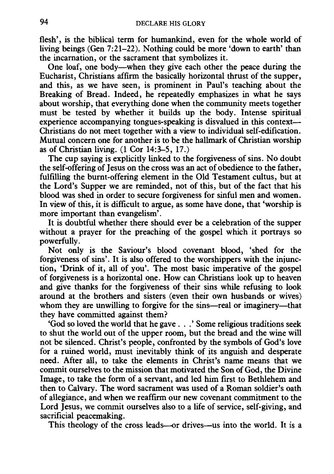flesh', is the biblical term for humankind, even for the whole world of living beings (Gen 7:21-22). Nothing could be more 'down to earth' than the incarnation, or the sacrament that symbolizes it.

One loaf, one body-when they give each other the peace during the Eucharist, Christians affirm the basically horizontal thrust of the supper, and this, as we have seen, is prominent in Paul's teaching about the Breaking of Bread. Indeed, he repeatedly emphasizes in what he says about worship, that everything done when the community meets together must be tested by whether it builds up the body. Intense spiritual experience accompanying tongues-speaking is disvalued in this context-Christians do not meet together with a view to individual self-edification. Mutual concern one for another is to be the hallmark of Christian worship as of Christian living. (1 Cor 14:3-5, 17 .)

The cup saying is explicitly linked to the forgiveness of sins. No doubt the self-offering of Jesus on the cross was an act of obedience to the father, fulfilling the burnt-offering element in the Old Testament cultus, but at the Lord's Supper we are reminded, not of this, but of the fact that his blood was shed in order to secure forgiveness for sinful men and women. In view of this, it is difficult to argue, as some have done, that 'worship is more important than evangelism'.

It is doubtful whether there should ever be a celebration of the supper without a prayer for the preaching of the gospel which it portrays so powerfully.

Not only is the Saviour's blood covenant blood, 'shed for the forgiveness of sins'. It is also offered to the worshippers with the injunction, 'Drink of it, all of you'. The most basic imperative of the gospel of forgiveness is a horizontal one. How can Christians look up to heaven and give thanks for the forgiveness of their sins while refusing to look around at the brothers and sisters (even their own husbands or wives) whom they are unwilling to forgive for the sins-real or imaginery-that they have committed against them?

'God so loved the world that he gave . . . ' Some religious traditions seek to shut the world out of the upper room, but the bread and the wine will not be silenced. Christ's people, confronted by the symbols of God's love for a ruined world, must inevitably think of its anguish and desperate need. After all, to take the elements in Christ's name means that we commit ourselves to the mission that motivated the Son of God, the Divine Image, to take the form of a servant, and led him first to Bethlehem and then to Calvary. The word sacrament was used of a Roman soldier's oath of allegiance, and when we reaffirm our new covenant commitment to the Lord Jesus, we commit ourselves also to a life of service, self-giving, and sacrificial peacemaking.

This theology of the cross leads-or drives-us into the world. It is a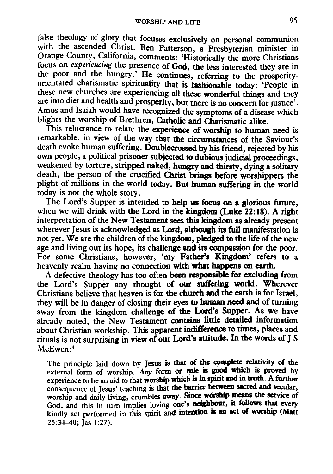false theology of glory that focuses exclusively on personal communion with the ascended Christ. Ben Patterson, a Presbyterian minister in Orange County, California, comments: 'Historically the more Christians focus on experiencing the presence of God, the less interested they are in the poor and the hungry.' He continues, referring to the prosperityorientated charismatic spirituality that is fashionable today: 'People in these new churches are experiencing all these wonderful things and they are into diet and health and prosperity, but there is no concern for justice'. Amos and Isaiah would have recognized the symptoms of a disease which blights the worship of Brethren, Catholic and Charismatic alike.

This reluctance to relate the experience of worship to human need is remarkable, in view of the way that the circumstances of the Saviour's death evoke human suffering. Doublecrossed by his friend, rejected by his own people, a political prisoner subjected to dubious judicial proceedings, weakened by torture, stripped naked, hungry and thirsty, dying a solitary death, the person of the crucified Christ brings before worshippers the plight of millions in the world today. But human suffering in the world today is not the whole story.

The Lord's Supper is intended to help us focus on a glorious future, when we will drink with the Lord in the kingdom (Luke 22: 18). A right interpretation of the New Testament sees this kingdom as already present wherever Jesus is acknowledged as Lord, although its full manifestation is not yet. We are the children of the kingdom, pledged to the life of the new age and living out its hope, its challenge and its compassion for the poor. For some Christians, however, 'my Father's Kingdom' refers to a heavenly realm having no connection with what happens on earth.

A defective theology has too often been responsible for excluding from the Lord's Supper any thought of our suffering world. Wherever Christians believe that heaven is for the church and the earth is for Israel, they will be in danger of closing their eyes to human need and of turning away from the kingdom challenge of the Lord's Supper. As we have already noted, the New Testament contains little detailed information about Christian workship. This apparent indifference to times, places and rituals is not surprising in view of our Lord's attitude. In the words of J S McEwen:4

The principle laid down by Jesus is that of the complete relativity of the external form of worship. Any form or rule is good which is proved by experience to be an aid to that worship which is in spirit and in truth. A further consequence of Jesus' teaching is that the barrier between sacred and secular. worship and daily living, crumbles away. Since worship means the service of God, and this in turn implies loving one's neighbour, it follows that every kindly act performed in this spirit and intention is an act of worship (Matt 25:34-40; Jas 1:27).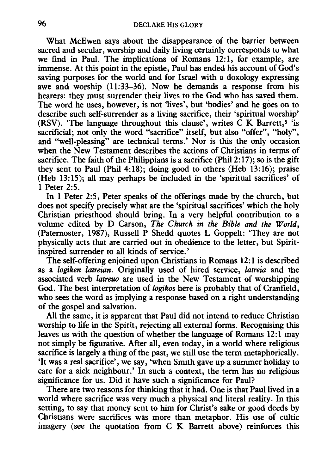What McEwen says about the disappearance of the barrier between sacred and secular, worship and daily living certainly corresponds to what we find in Paul. The implications of Romans 12:1, for example, are immense. At this point in the epistle, Paul has ended his account of God's saving purposes for the world and for Israel with a doxology expressing awe and worship (11:33-36). Now he demands a response from his hearers: they must surrender their lives to the God who has saved them. The word he uses, however, is not 'lives', but 'bodies' and he goes on to describe such self-surrender as a living sacrifice, their 'spiritual worship' (RSV). 'The language throughout this clause', writes  $\tilde{C}$  K Barrett,<sup>5</sup> 'is sacrificial; not only the word "sacrifice" itself, but also "offer", "holy", and "well-pleasing" are technical terms.' Nor is this the only occasion when the New Testament describes the actions of Christians in terms of sacrifice. The faith of the Philippians is a sacrifice (Phil  $2:17$ ); so is the gift they sent to Paul (Phil 4:18); doing good to others (Heb 13:16); praise (Heb 13: 15); all may perhaps be included in the 'spiritual sacrifices' of 1 Peter 2:5.

In 1 Peter 2:5, Peter speaks of the offerings made by the church, but does not specify precisely what are the 'spiritual sacrifices' which the holy Christian priesthood should bring. In a very helpful contribution to a volume edited by D Carson, *The Church in the Bible and the World,*  (Paternoster, 1987), Russell P Shedd quotes L Goppelt: 'They are not physically acts that are carried out in obedience to the letter, but Spiritinspired surrender to all kinds of service.'

The self-offering enjoined upon Christians in Romans 12:1 is described as a *logiken latreian.* Originally used of hired service, *latreia* and the associated verb *latreuo* are used in the New Testament of worshipping God. The best interpretation of *logikos* here is probably that of Cranfield, who sees the word as implying a response based on a right understanding of the gospel and salvation.

All the same, it is apparent that Paul did not intend to reduce Christian worship to life in the Spirit, rejecting all external forms. Recognising this leaves us with the question of whether the language of Romans 12:1 may not simply be figurative. After all, even today, in a world where religious sacrifice is largely a thing of the past, we still use the term metaphorically. 'It was a real sacrifice', we say, 'when Smith gave up a summer holiday to care for a sick neighbour.' In such a context, the term has no religious significance for us. Did it have such a significance for Paul?

There are two reasons for thinking that it had. One is that Paul lived in a world where sacrifice was very much a physical and literal reality. In this setting, to say that money sent to him for Christ's sake or good deeds by Christians were sacrifices was more than metaphor. His use of cultic imagery (see the quotation from C K Barrett above) reinforces this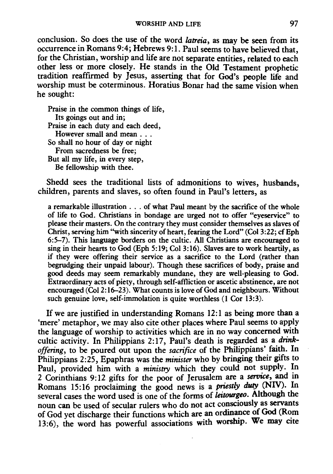conclusion. So does the use of the word *latreia,* as may be seen from its occurrence in Romans 9:4; Hebrews 9:1. Paul seems to have believed that, for the Christian, worship and life are not separate entities, related to each other less or more closely. He stands in the Old Testament prophetic tradition reaffirmed by Jesus, asserting that for God's people life and worship must be coterminous. Horatius Bonar had the same vision when he sought:

Praise in the common things of life, Its goings out and in; Praise in each duty and each deed, However small and mean ... So shall no hour of day or night From sacredness be free; But all my life, in every step, Be fellowship with thee.

Shedd sees the traditional lists of admonitions to wives, husbands, children, parents and slaves, so often found in Paul's letters, as

a remarkable illustration . . . of what Paul meant by the sacrifice of the whole of life to God. Christians in bondage are urged not to offer "eyeservice" to please their masters. On the contrary they must consider themselves as slaves of Christ, serving him ''with sincerity of heart, fearing the Lord" (Col 3:22; cf Eph 6:5-7). This language borders on the cultic. All Christians are encouraged to sing in their hearts to God (Eph 5:19; Col 3:16). Slaves are to work heartily, as if they were offering their service as a sacrifice to the Lord (rather than begrudging their unpaid labour). Though these sacrifices of body, praise and good deeds may seem remarkably mundane, they are well-pleasing to God. Extraordinary acts of piety, through self-affliction or ascetic abstinence, are not encouraged (Col2: 16-23). What counts is love of God and neighbours. Without such genuine love, self-immolation is quite worthless (1 Cor 13:3).

If we are justified in understanding Romans 12:1 as being more than a 'mere' metaphor, we may also cite other places where Paul seems to apply the language of worship to activities which are in no way concerned with cultic activity. In Philippians 2:17, Paul's death is regarded as a *drinkoffering,* to be poured out upon the *sacrifice* of the Philippians' faith. In Philippians 2:25, Epaphras was the *minister* who by bringing their gifts to Paul, provided him with a *ministry* which they could not supply. In 2 Corinthians 9:12 gifts for the poor of Jerusalem are a *service*, and in Romans 15:16 proclaiming the good news is a *priestly duty* (NIV). In several cases the word used is one of the forms of *leitourgeo.* Although the noun can be used of secular rulers who do not act consciously as servants of God yet discharge their functions which are an ordinance of God (Rom 13:6), the word has powerful associations with worship. We may cite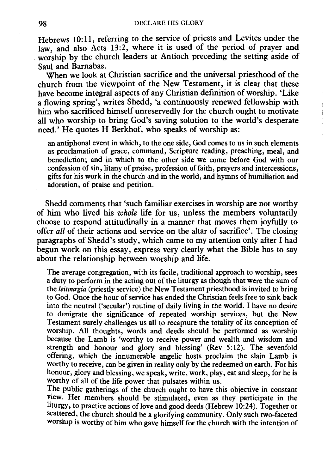Hebrews 10:11, referring to the service of priests and Levites under the law, and also Acts 13:2, where it is used of the period of prayer and worship by the church leaders at Antioch preceding the setting aside of Saul and Barnabas.

When we look at Christian sacrifice and the universal priesthood of the church from the viewpoint of the New Testament, it is clear that these have become integral aspects of any Christian definition of worship. 'Like a flowing spring', writes Shedd, 'a continuously renewed fellowship with him who sacrificed himself unreservedly for the church ought to motivate all who worship to bring God's saving solution to the world's desperate need.' He quotes H Berkhof, who speaks of worship as:

an antiphonal event in which, to the one side, God comes to us in such elements as proclamation of grace, command, Scripture reading, preaching, meal, and benediction; and in which to the other side we come before God with our confession of sin, litany of praise, profession of faith, prayers and intercessions, gifts for his work in the church and in the world, and hymns of humiliation and adoration, of praise and petition.

Shedd comments that 'such familiar exercises in worship are not worthy of him who lived his *whole* life for us, unless the members voluntarily choose to respond attitudinally in a manner that moves them joyfully to offer *all* of their actions and service on the altar of sacrifice'. The closing paragraphs of Shedd's study, which came to my attention only after I had begun work on this essay, express very clearly what the Bible has to say about the relationship between worship and life.

The average congregation, with its facile, traditional approach to worship, sees a duty to perform in the acting out of the liturgy as though that were the sum of the *leitourgia* (priestly service) the New Testament priesthood is invited to bring to God. Once the hour of service has ended the Christian feels free to sink back into the neutral ('secular') routine of daily living in the world. I have no desire to denigrate the significance of repeated worship services, but the New Testament surely challenges us all to recapture the totality of its conception of worship. All thoughts, words and deeds should be performed as worship because the Lamb is 'worthy to receive power and wealth and wisdom and strength and honour and glory and blessing' (Rev 5:12). The sevenfold offering, which the innumerable angelic hosts proclaim the slain Lamb is worthy to receive, can be given in reality only by the redeemed on earth. For his honour, glory and blessing, we speak, write, work, play, eat and sleep, for he is worthy of all of the life power that pulsates within us.

The public gatherings of the church ought to have this objective in constant view. Her members should be stimulated, even as they participate in the liturgy, to practice actions of love and good deeds (Hebrew 10:24). Together or scattered, the church should be a glorifying community. Only such two-faceted worship is worthy of him who gave himself for the church with the intention of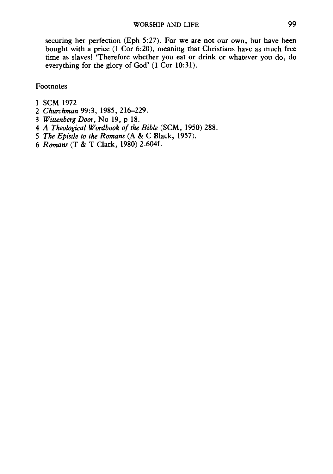securing her perfection (Eph 5:27). For we are not our own, but have been bought with a price (1 Cor 6:20), meaning that Christians have as much free time as slaves! 'Therefore whether you eat or drink or whatever you do, do everything for the glory of God' (1 Cor 10:31).

Footnotes

- 1 SCM 1972
- 2 *Churchman* 99:3, 1985, 216-229.
- 3 *Wittenberg Door,* No 19, p 18.
- 4 *A Theological Wordbook of the Bible* (SCM, 1950) 288.
- *5 The Epistle to the Romans* (A & C Black, 1957).
- 6 *Romans* (T & T Clark, 1980) 2.604f.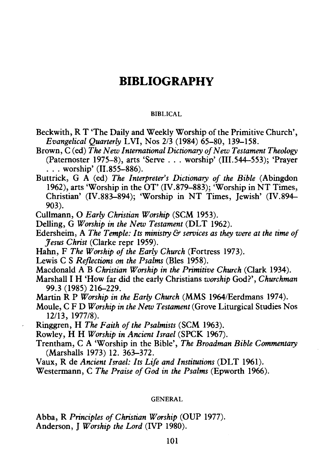# **BIBLIOGRAPHY**

#### BIBLICAL

- Beckwith, R T 'The Daily and Weekly Worship of the Primitive Church', *Evangelical Ouarterly LVI, Nos 2/3 (1984) 65-80, 139-158.*
- Brown, C (ed) *The New International Dictionary of New Testament Theology*  (Paternoster 1975-8), arts 'Serve . . . worship' (III.544-553); 'Prayer  $\ldots$  worship' (II.855-886).
- Buttrick, G A (ed) *The Interpreter's Dictionary of the Bible* (Abingdon 1962), arts 'Worship in the  $\overline{OT}$ ' (IV.879–883); 'Worship in NT Times, Christian' (IV.883-894); 'Worship in NT Times, Jewish' (IV.894-903).

Cullmann, O *Early Christian Worship* (SCM 1953).

- Delling, G *Worship in the New Testament* (DLT 1962).
- Edersheim, A *The Temple: Its ministry* & *services as they were at the time of Jesus Christ* (Clarke repr 1959).
- Hahn, F The Worship of the Early Church (Fortress 1973).
- Lewis C S *Reflections on the Psalms* (Bles 1958).
- Macdonald A B *Christian Worship in the Primitive Church* (Clark 1934).
- Marshall I H 'How far did the early Christians *worship* God?', *Churchman*  99.3 (1985) 216-229.
- Martin R P *Worship in the Early Church* (MMS 1964/Eerdmans 1974).
- Moule, C F D *Worship in the New Testament* (Grove Liturgical Studies Nos 12/13, 1977/8).
- Ringgren, H *The Faith of the Psalmists* (SCM 1963).
- Rowley, H H *Worship in Ancient Israel* (SPCK 1967).
- Trentham, CA 'Worship in the Bible', *The Broadman Bible Commentary*  (Marshalls 1973) 12. 363-372.
- Vaux, R de *Ancient Israel: Its Life and Institutions* (DLT 1961).
- Westermann, C The Praise of God in the Psalms (Epworth 1966).

#### GENERAL

Abba, R *Principles of Christian Worship* (OUP 1977). Anderson, J *Worship the Lord* (IVP 1980).